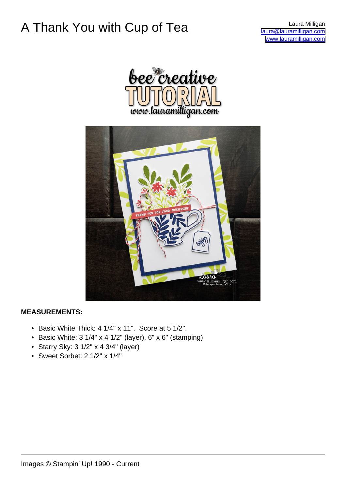## A Thank You with Cup of Tea **Laura Milligan**

[laura@lauramilligan.com](mailto:laura@lauramilligan.com) [www.lauramilligan.com](http://www.lauramilligan.com)





### **MEASUREMENTS:**

- Basic White Thick: 4 1/4" x 11". Score at 5 1/2".
- Basic White:  $3 \frac{1}{4}$  x 4  $\frac{1}{2}$ " (layer),  $6$ " x  $6$ " (stamping)
- Starry Sky: 3 1/2" x 4 3/4" (layer)
- Sweet Sorbet: 2 1/2" x 1/4"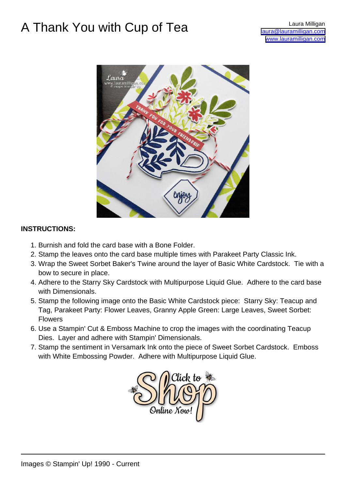### A Thank You with Cup of Tea Laura Milligan Com



#### **INSTRUCTIONS:**

- 1. Burnish and fold the card base with a Bone Folder.
- 2. Stamp the leaves onto the card base multiple times with Parakeet Party Classic Ink.
- 3. Wrap the Sweet Sorbet Baker's Twine around the layer of Basic White Cardstock. Tie with a bow to secure in place.
- 4. Adhere to the Starry Sky Cardstock with Multipurpose Liquid Glue. Adhere to the card base with Dimensionals.
- 5. Stamp the following image onto the Basic White Cardstock piece: Starry Sky: Teacup and Tag, Parakeet Party: Flower Leaves, Granny Apple Green: Large Leaves, Sweet Sorbet: Flowers
- 6. Use a Stampin' Cut & Emboss Machine to crop the images with the coordinating Teacup Dies. Layer and adhere with Stampin' Dimensionals.
- 7. Stamp the sentiment in Versamark Ink onto the piece of Sweet Sorbet Cardstock. Emboss with White Embossing Powder. Adhere with Multipurpose Liquid Glue.